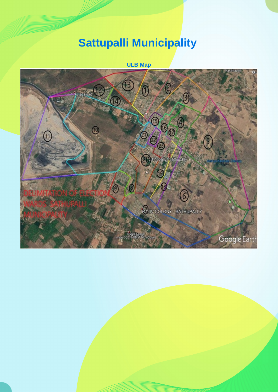## **Sattupalli Municipality**

**ULB Map**

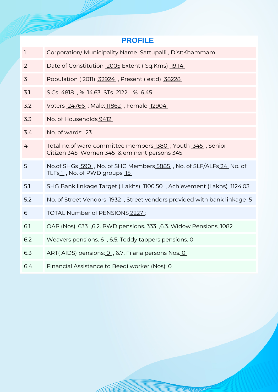| <b>PROFILE</b>           |                                                                                                            |  |  |  |  |  |
|--------------------------|------------------------------------------------------------------------------------------------------------|--|--|--|--|--|
| $\overline{\phantom{a}}$ | Corporation/Municipality Name Sattupalli, Dist: Khammam                                                    |  |  |  |  |  |
| $\overline{2}$           | Date of Constitution 2005 Extent (Sq.Kms) 19.14                                                            |  |  |  |  |  |
| 3                        | Population (2011) 32924, Present (estd) 38228                                                              |  |  |  |  |  |
| 3.1                      | S.Cs 4818, % 14.63 STs 2122, % 6.45                                                                        |  |  |  |  |  |
| 3.2                      | Voters 24766 : Male: 11862, Female 12904                                                                   |  |  |  |  |  |
| 3.3                      | No. of Households 9412                                                                                     |  |  |  |  |  |
| 3.4                      | No. of wards: 23                                                                                           |  |  |  |  |  |
| 4                        | Total no.of ward committee members 1380 ; Youth 345, Senior<br>Citizen 345 Women 345 & eminent persons 345 |  |  |  |  |  |
| 5                        | No.of SHGs 590, No. of SHG Members 5885, No. of SLF/ALFs 24, No. of<br>TLFs1, No. of PWD groups 15         |  |  |  |  |  |
| 5.1                      | SHG Bank linkage Target (Lakhs) 1100.50, Achievement (Lakhs) 1124.03                                       |  |  |  |  |  |
| 5.2                      | No. of Street Vendors 1932, Street vendors provided with bank linkage 5                                    |  |  |  |  |  |
| 6                        | TOTAL Number of PENSIONS 2227;                                                                             |  |  |  |  |  |
| 6.1                      | OAP (Nos). 633, 6.2. PWD pensions. 333, 6.3. Widow Pensions, 1082                                          |  |  |  |  |  |
| 6.2                      | Weavers pensions. 6, 6.5. Toddy tappers pensions. 0                                                        |  |  |  |  |  |
| 6.3                      | ART(AIDS) pensions: 0, 6.7. Filaria persons Nos. 0                                                         |  |  |  |  |  |
| 6.4                      | Financial Assistance to Beedi worker (Nos): 0                                                              |  |  |  |  |  |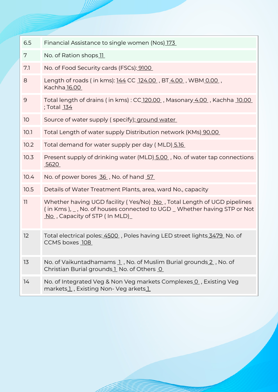| 6.5  | Financial Assistance to single women (Nos) 173                                                                                                                                                  |  |  |  |  |
|------|-------------------------------------------------------------------------------------------------------------------------------------------------------------------------------------------------|--|--|--|--|
| 7    | No. of Ration shops 11                                                                                                                                                                          |  |  |  |  |
| 7.1  | No. of Food Security cards (FSCs): 9100                                                                                                                                                         |  |  |  |  |
| 8    | Length of roads (in kms): 144 CC 124.00, BT 4.00, WBM 0.00,<br>Kachha 16.00                                                                                                                     |  |  |  |  |
| 9    | Total length of drains (in kms): CC 120.00, Masonary 4.00, Kachha 10.00<br>; Total <u>134</u>                                                                                                   |  |  |  |  |
| 10   | Source of water supply (specify); ground water                                                                                                                                                  |  |  |  |  |
| 10.1 | Total Length of water supply Distribution network (KMs) 90.00                                                                                                                                   |  |  |  |  |
| 10.2 | Total demand for water supply per day (MLD) 5.16                                                                                                                                                |  |  |  |  |
| 10.3 | Present supply of drinking water (MLD) 5.00, No. of water tap connections<br>5620                                                                                                               |  |  |  |  |
| 10.4 | No. of power bores 36, No. of hand 57                                                                                                                                                           |  |  |  |  |
| 10.5 | Details of Water Treatment Plants, area, ward No., capacity                                                                                                                                     |  |  |  |  |
| 11   | Whether having UGD facility (Yes/No) No., Total Length of UGD pipelines<br>(in Kms), _, No. of houses connected to UGD _ Whether having STP or Not<br>$\overline{N}$ , Capacity of STP (In MLD) |  |  |  |  |
| 12   | Total electrical poles: 4500, Poles having LED street lights 3479, No. of<br>CCMS boxes 108                                                                                                     |  |  |  |  |
| 13   | No. of Vaikuntadhamams 1, No. of Muslim Burial grounds 2, No. of<br>Christian Burial grounds 1 No. of Others 0                                                                                  |  |  |  |  |
| 14   | No. of Integrated Veg & Non Veg markets Complexes 0, Existing Veg<br>markets1, Existing Non- Veg arkets1                                                                                        |  |  |  |  |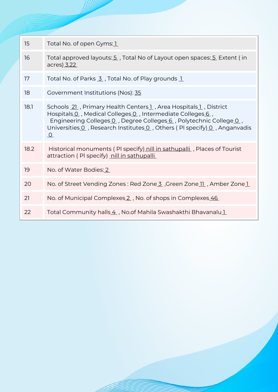| 15   | Total No. of open Gyms: 1                                                                                                                                                                                                                                                                  |  |  |  |
|------|--------------------------------------------------------------------------------------------------------------------------------------------------------------------------------------------------------------------------------------------------------------------------------------------|--|--|--|
| 16   | Total approved layouts: 5, Total No of Layout open spaces: 5 Extent (in<br>acres) 3.22                                                                                                                                                                                                     |  |  |  |
| 17   | Total No. of Parks 3, Total No. of Play grounds 1                                                                                                                                                                                                                                          |  |  |  |
| 18   | Government Institutions (Nos): 35                                                                                                                                                                                                                                                          |  |  |  |
| 18.1 | Schools 21, Primary Health Centers 1, Area Hospitals 1, District<br>Hospitals O, Medical Colleges O, Intermediate Colleges 6,<br>Engineering Colleges 0, Degree Colleges 6, Polytechnic College 0,<br>Universities 0, Research Institutes 0, Others (PI specify) 0, Anganvadis<br>$\Omega$ |  |  |  |
| 18.2 | Historical monuments (PI specify) nill in sathupalli, Places of Tourist<br>attraction (PI specify) nill in sathupalli                                                                                                                                                                      |  |  |  |
| 19   | No. of Water Bodies: 2                                                                                                                                                                                                                                                                     |  |  |  |
| 20   | No. of Street Vending Zones: Red Zone 3, Green Zone 11, Amber Zone 1                                                                                                                                                                                                                       |  |  |  |
| 21   | No. of Municipal Complexes 2, No. of shops in Complexes 46                                                                                                                                                                                                                                 |  |  |  |
| 22   | Total Community halls 4, No.of Mahila Swashakthi Bhavanalu 1                                                                                                                                                                                                                               |  |  |  |